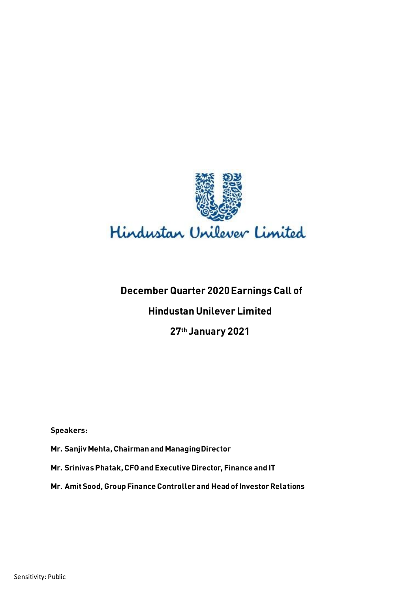

# **December Quarter 2020 Earnings Call of**

# **Hindustan Unilever Limited**

# **27th January 2021**

**Speakers:** 

**Mr. Sanjiv Mehta, Chairman and Managing Director**

**Mr. Srinivas Phatak, CFO and Executive Director, Finance and IT**

**Mr. Amit Sood, Group Finance Controller and Head of Investor Relations**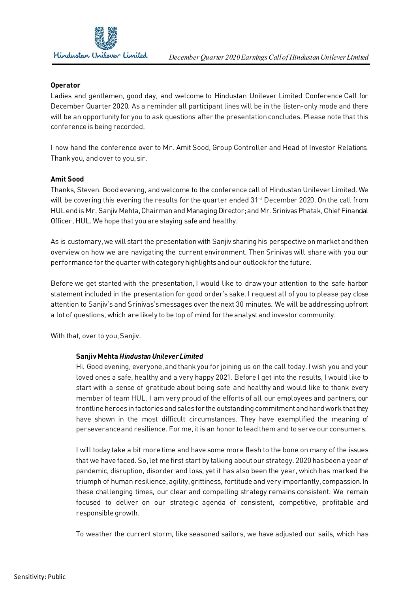

#### **Operator**

Ladies and gentlemen, good day, and welcome to Hindustan Unilever Limited Conference Call for December Quarter 2020. As a reminder all participant lines will be in the listen-only mode and there will be an opportunity for you to ask questions after the presentation concludes. Please note that this conference is being recorded.

I now hand the conference over to Mr. Amit Sood, Group Controller and Head of Investor Relations. Thank you, and over to you, sir.

#### **Amit Sood**

Thanks, Steven. Good evening, and welcome to the conference call of Hindustan Unilever Limited. We will be covering this evening the results for the quarter ended 31<sup>st</sup> December 2020. On the call from HUL end is Mr. Sanjiv Mehta, Chairmanand Managing Director; and Mr. Srinivas Phatak, Chief Financial Officer, HUL. We hope that you are staying safe and healthy.

As is customary, we will start the presentation with Sanjiv sharing his perspective on market and then overview on how we are navigating the current environment. Then Srinivas will share with you our performance for the quarter with category highlights and our outlook for the future.

Before we get started with the presentation, I would like to draw your attention to the safe harbor statement included in the presentation for good order's sake. I request all of you to please pay close attention to Sanjiv's and Srinivas'smessages over the next 30 minutes. We will be addressing upfront a lot of questions, which are likely to be top of mind for the analyst and investor community.

With that, over to you, Sanjiv.

#### **Sanjiv Mehta** *Hindustan Unilever Limited*

Hi. Good evening, everyone, and thank you for joining us on the call today. I wish you and your loved ones a safe, healthy and a very happy 2021. Before I get into the results, I would like to start with a sense of gratitude about being safe and healthy and would like to thank every member of team HUL. I am very proud of the efforts of all our employees and partners, our frontline heroes in factories and sales for the outstanding commitment and hard work that they have shown in the most difficult circumstances. They have exemplified the meaning of perseverance and resilience. For me, it is an honor to lead them and to serve our consumers.

I will today take a bit more time and have some more flesh to the bone on many of the issues that we have faced. So,let me first start by talking about our strategy. 2020 has been a year of pandemic, disruption, disorder and loss, yet it has also been the year, which has marked the triumph of human resilience, agility, grittiness, fortitude and very importantly, compassion. In these challenging times, our clear and compelling strategy remains consistent. We remain focused to deliver on our strategic agenda of consistent, competitive, profitable and responsible growth.

To weather the current storm, like seasoned sailors, we have adjusted our sails, which has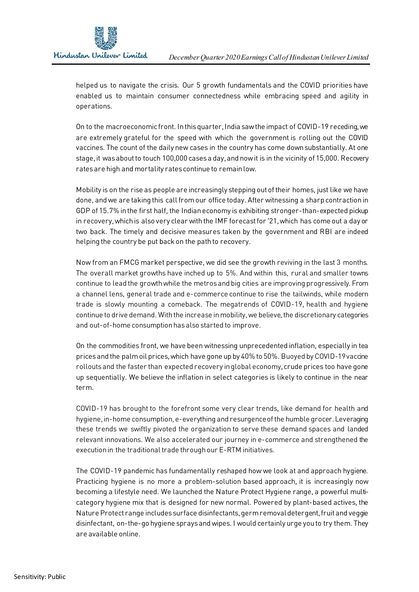helped us to navigate the crisis. Our 5 growth fundamentals and the COVID priorities have enabled us to maintain consumer connectedness while embracing speed and agility in operations.

On to the macroeconomic front. In this quarter, India saw the impact of COVID-19 receding, we are extremely grateful for the speed with which the government is rolling out the COVID vaccines. The count of the daily new cases in the country has come down substantially. At one stage, it was about to touch 100,000 cases a day, and now it is in the vicinity of 15,000. Recovery rates are high and mortality rates continue to remain low.

Mobility is on the rise as people are increasingly stepping out of their homes, just like we have done, and we are taking this call fromour office today. After witnessing a sharp contraction in GDP of 15.7% in the first half, the Indian economy is exhibiting stronger-than-expected pickup in recovery, which is also very clear with the IMF forecast for '21, which has come out a day or two back. The timely and decisive measures taken by the government and RBI are indeed helping the country be put back on the path to recovery.

Now from an FMCG market perspective, we did see the growth reviving in the last 3 months. The overall market growths have inched up to 5%. And within this, rural and smaller towns continue to lead the growth while the metros and big cities are improving progressively. From a channel lens, general trade and e-commerce continue to rise the tailwinds, while modern trade is slowly mounting a comeback. The megatrends of COVID-19, health and hygiene continue to drive demand. With the increase in mobility, we believe, the discretionary categories and out-of-home consumption has also started to improve.

On the commodities front, we have been witnessing unprecedented inflation, especially in tea prices and the palm oil prices, which have gone up by 40% to 50%. Buoyed by COVID-19 vaccine rollouts and the faster than expected recovery in global economy, crude prices too have gone up sequentially. We believe the inflation in select categories is likely to continue in the near term.

COVID-19 has brought to the forefront some very clear trends, like demand for health and hygiene, in-home consumption, e-everything and resurgence of the humble grocer. Leveraging these trends we swiftly pivoted the organization to serve these demand spaces and landed relevant innovations. We also accelerated our journey in e-commerce and strengthened the execution in the traditional trade through our E-RTM initiatives.

The COVID-19 pandemic has fundamentally reshaped how we look at and approach hygiene. Practicing hygiene is no more a problem-solution based approach, it is increasingly now becoming a lifestyle need. We launched the Nature Protect Hygiene range, a powerful multicategory hygiene mix that is designed for new normal. Powered by plant-based actives, the Nature Protect range includes surface disinfectants, germ removal detergent, fruit and veggie disinfectant, on-the-go hygiene sprays and wipes. I would certainly urge you to try them. They are available online.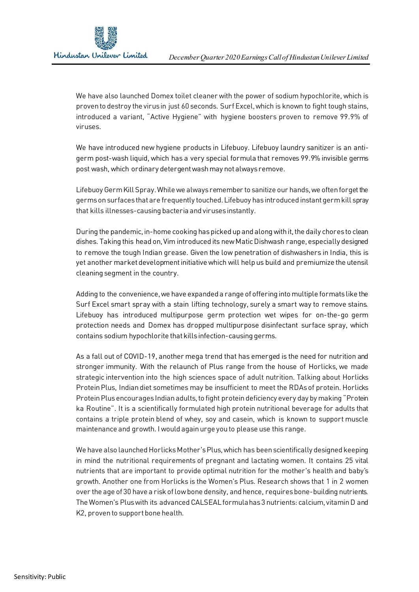We have also launched Domex toilet cleaner with the power of sodium hypochlorite, which is proven to destroy the virus in just 60 seconds. Surf Excel, which is known to fight tough stains, introduced a variant, "Active Hygiene" with hygiene boosters proven to remove 99.9% of viruses.

We have introduced new hygiene products in Lifebuoy. Lifebuoy laundry sanitizer is an antigerm post-wash liquid, which has a very special formula that removes 99.9% invisible germs post wash, which ordinary detergent wash may not always remove.

Lifebuoy Germ Kill Spray. While we always remember to sanitize our hands, we often forget the germs on surfaces that are frequently touched. Lifebuoy has introduced instant germ kill spray that kills illnesses-causing bacteria and viruses instantly.

During the pandemic, in-home cooking has picked up and along with it, the daily chores to clean dishes. Taking this head on, Vim introduced its new Matic Dishwash range, especially designed to remove the tough Indian grease. Given the low penetration of dishwashers in India, this is yet another market development initiative which will help us build and premiumize the utensil cleaning segment in the country.

Adding to the convenience, we have expanded a range of offering into multiple formats like the Surf Excel smart spray with a stain lifting technology, surely a smart way to remove stains. Lifebuoy has introduced multipurpose germ protection wet wipes for on-the-go germ protection needs and Domex has dropped multipurpose disinfectant surface spray, which contains sodium hypochlorite that kills infection-causing germs.

As a fall out of COVID-19, another mega trend that has emerged is the need for nutrition and stronger immunity. With the relaunch of Plus range from the house of Horlicks, we made strategic intervention into the high sciences space of adult nutrition. Talking about Horlicks Protein Plus, Indian diet sometimes may be insufficient to meet the RDAs of protein. Horlicks Protein Plus encourages Indian adults, to fight protein deficiency every day by making "Protein ka Routine". It is a scientifically formulated high protein nutritional beverage for adults that contains a triple protein blend of whey, soy and casein, which is known to support muscle maintenance and growth. I would again urge you to please use this range.

We have also launched Horlicks Mother's Plus, which has been scientifically designed keeping in mind the nutritional requirements of pregnant and lactating women. It contains 25 vital nutrients that are important to provide optimal nutrition for the mother's health and baby's growth. Another one from Horlicks is the Women's Plus. Research shows that 1 in 2 women over the age of 30 have a risk of low bone density, and hence, requires bone-building nutrients. The Women's Plus with its advanced CALSEAL formula has 3 nutrients: calcium, vitamin D and K2, proven to support bone health.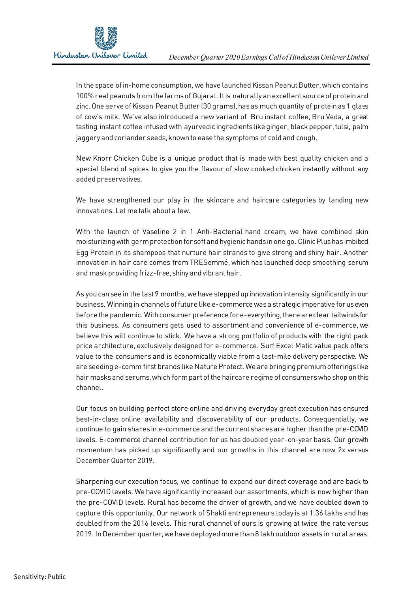

In the space of in-home consumption, we have launched Kissan Peanut Butter, which contains 100% real peanuts from the farms of Gujarat. It is naturally an excellent source of protein and zinc. One serve of Kissan Peanut Butter (30 grams),hasas much quantity of protein as 1 glass of cow's milk. We've also introduced a new variant of Bru instant coffee, Bru Veda, a great tasting instant coffee infused with ayurvedic ingredients like ginger, black pepper, tulsi, palm jaggery and coriander seeds, known to ease the symptoms of cold and cough.

New Knorr Chicken Cube is a unique product that is made with best quality chicken and a special blend of spices to give you the flavour of slow cooked chicken instantly without any added preservatives.

We have strengthened our play in the skincare and haircare categories by landing new innovations. Let me talk about a few.

With the launch of Vaseline 2 in 1 Anti-Bacterial hand cream, we have combined skin moisturizing with germ protection for soft and hygienic hands in one go. Clinic Plushasimbibed Egg Protein in its shampoos that nurture hair strands to give strong and shiny hair. Another innovation in hair care comes from TRESemmé, which has launched deep smoothing serum and mask providing frizz-free, shiny and vibrant hair.

As you can see in the last 9 months, we have stepped up innovation intensity significantly in our business. Winning in channels of future like e-commerce was a strategic imperative for us even before the pandemic. With consumer preference for e-everything, there are clear tailwinds for this business. As consumers gets used to assortment and convenience of e-commerce, we believe this will continue to stick. We have a strong portfolio of products with the right pack price architecture, exclusively designed for e-commerce. Surf Excel Matic value pack offers value to the consumers and is economically viable from a last-mile delivery perspective. We are seeding e-comm first brands like Nature Protect. We are bringing premium offerings like hair masks and serums, which form part of the haircare regime of consumers who shop on this channel.

Our focus on building perfect store online and driving everyday great execution has ensured best-in-class online availability and discoverability of our products. Consequentially, we continue to gain sharesin e-commerce and the current shares are higher than the pre-COVID levels. E-commerce channel contribution for us has doubled year-on-year basis. Our growth momentum has picked up significantly and our growths in this channel are now 2x versus December Quarter 2019.

Sharpening our execution focus, we continue to expand our direct coverage and are back to pre-COVID levels. We have significantly increased our assortments, which is now higher than the pre-COVID levels. Rural has become the driver of growth, and we have doubled down to capture this opportunity. Our network of Shakti entrepreneurs today is at 1.36 lakhs and has doubled from the 2016 levels. This rural channel of ours is growing at twice the rate versus 2019. In December quarter, we have deployed more than 8 lakh outdoor assets in rural areas.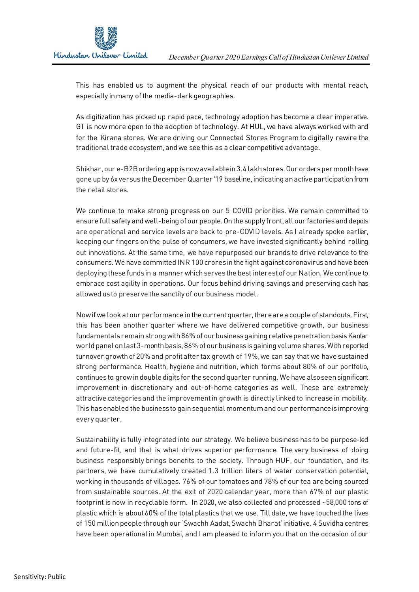

This has enabled us to augment the physical reach of our products with mental reach, especially in many of the media-dark geographies.

As digitization has picked up rapid pace, technology adoption has become a clear imperative. GT is now more open to the adoption of technology. At HUL, we have always worked with and for the Kirana stores. We are driving our Connected Stores Program to digitally rewire the traditional trade ecosystem, and we see this as a clear competitive advantage.

Shikhar, our e-B2B ordering app isnow available in3.4 lakh stores. Our orders per month have gone up by 6x versus the December Quarter '19 baseline, indicating an active participation from the retail stores.

We continue to make strong progress on our 5 COVID priorities. We remain committed to ensure full safety and well-being of our people. On the supply front, all our factories and depots are operational and service levels are back to pre-COVID levels. As I already spoke earlier, keeping our fingers on the pulse of consumers, we have invested significantly behind rolling out innovations. At the same time, we have repurposed our brands to drive relevance to the consumers. We have committed INR 100 crores in the fight against coronavirus and have been deploying these fundsin a manner which servesthe best interest of our Nation. We continue to embrace cost agility in operations. Our focus behind driving savings and preserving cash has allowed us to preserve the sanctity of our business model.

Now if we look at our performance in the current quarter, there are a couple of standouts. First, this has been another quarter where we have delivered competitive growth, our business fundamentals remain strong with 86% of our business gaining relative penetration basis Kantar world panel on last 3-month basis, 86% of our business is gaining volume shares. With reported turnover growth of 20% and profit after tax growth of 19%, we can say that we have sustained strong performance. Health, hygiene and nutrition, which forms about 80% of our portfolio, continues to grow in double digits for the second quarter running. We have also seen significant improvement in discretionary and out-of-home categories as well. These are extremely attractive categories and the improvement in growth is directly linked to increase in mobility. This has enabled the business to gain sequential momentum and our performance is improving every quarter.

Sustainability is fully integrated into our strategy. We believe business has to be purpose-led and future-fit, and that is what drives superior performance. The very business of doing business responsibly brings benefits to the society. Through HUF, our foundation, and its partners, we have cumulatively created 1.3 trillion liters of water conservation potential, working in thousands of villages. 76% of our tomatoes and 78% of our tea are being sourced from sustainable sources. At the exit of 2020 calendar year, more than 67% of our plastic footprint is now in recyclable form. In 2020, we also collected and processed ~58,000 tons of plastic which is about 60% of the total plastics that we use. Till date, we have touched the lives of 150 million people through our 'Swachh Aadat, Swachh Bharat'initiative. 4 Suvidha centres have been operational in Mumbai, and I am pleased to inform you that on the occasion of our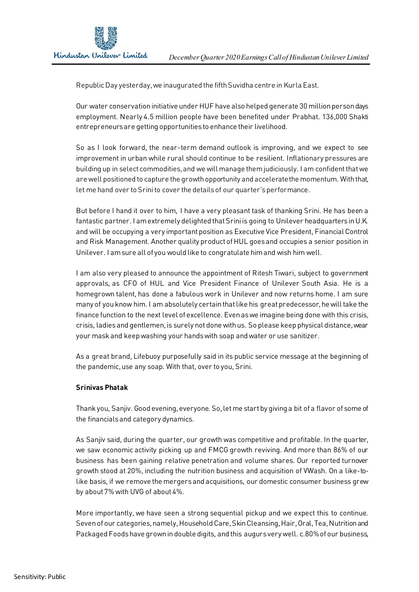

Republic Day yesterday, we inaugurated the fifth Suvidha centre in Kurla East.

Our water conservation initiative under HUF have also helped generate 30 million person days employment. Nearly 4.5 million people have been benefited under Prabhat. 136,000 Shakti entrepreneurs are getting opportunities to enhance their livelihood.

So as I look forward, the near-term demand outlook is improving, and we expect to see improvement in urban while rural should continue to be resilient. Inflationary pressures are building up in select commodities, and we will manage them judiciously. I am confident that we are well positioned to capture the growth opportunity and accelerate the momentum. With that, let me hand over to Srini to cover the details of our quarter's performance.

But before I hand it over to him, I have a very pleasant task of thanking Srini. He has been a fantastic partner. I amextremely delighted that Srini is going to Unilever headquarters in U.K. and will be occupying a very important position as Executive Vice President, Financial Control and Risk Management. Another quality product of HUL goes and occupies a senior position in Unilever. I amsure all of you would like to congratulate him and wish him well.

I am also very pleased to announce the appointment of Ritesh Tiwari, subject to government approvals, as CFO of HUL and Vice President Finance of Unilever South Asia. He is a homegrown talent, has done a fabulous work in Unilever and now returns home. I am sure many of you know him. I am absolutely certain that like his great predecessor, he will take the finance function to the next level of excellence. Even as we imagine being done with this crisis, crisis, ladies and gentlemen, is surely not done with us. So please keep physical distance, wear your mask and keep washing your hands with soap and water or use sanitizer.

As a great brand, Lifebuoy purposefully said in its public service message at the beginning of the pandemic, use any soap. With that, over to you, Srini.

#### **Srinivas Phatak**

Thank you, Sanjiv. Good evening, everyone. So,let me start by giving a bit of a flavor of some of the financials and category dynamics.

As Sanjiv said, during the quarter, our growth was competitive and profitable. In the quarter, we saw economic activity picking up and FMCG growth reviving. And more than 86% of our business has been gaining relative penetration and volume shares. Our reported turnover growth stood at 20%, including the nutrition business and acquisition of VWash. On a like-tolike basis, if we remove the mergers and acquisitions, our domestic consumer business grew by about 7% with UVG of about 4%.

More importantly, we have seen a strong sequential pickup and we expect this to continue. Seven of our categories, namely, Household Care, Skin Cleansing, Hair, Oral, Tea, Nutrition and Packaged Foods have grown in double digits, and this augurs very well. c.80% of our business,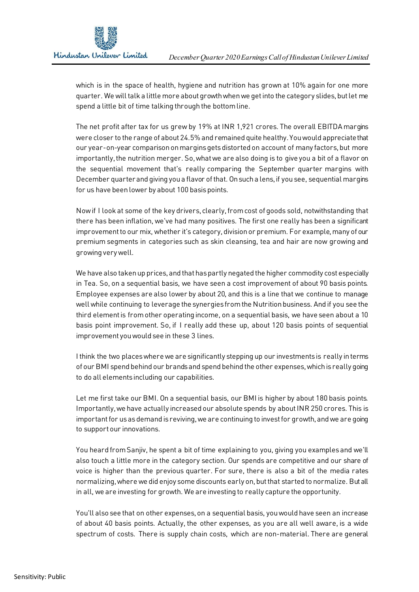

which is in the space of health, hygiene and nutrition has grown at 10% again for one more quarter. We will talk a little more about growth when we get into the category slides, but let me spend a little bit of time talking through the bottom line.

The net profit after tax for us grew by 19% at INR 1,921 crores. The overall EBITDA margins were closer to the range of about 24.5% and remained quite healthy. You would appreciate that our year-on-year comparison on margins gets distorted on account of many factors, but more importantly, the nutrition merger. So,what we are also doing is to give you a bit of a flavor on the sequential movement that's really comparing the September quarter margins with December quarter and giving you a flavor of that. On such a lens,if you see, sequential margins for us have been lower by about 100 basis points.

Now if I look at some of the key drivers, clearly, from cost of goods sold, notwithstanding that there has been inflation, we've had many positives. The first one really has been a significant improvement to our mix, whether it's category, divisionor premium. For example, many of our premium segments in categories such as skin cleansing, tea and hair are now growing and growing very well.

We have also taken up prices, and that has partly negated the higher commodity cost especially in Tea. So, on a sequential basis, we have seen a cost improvement of about 90 basis points. Employee expenses are also lower by about 20, and this is a line that we continue to manage well while continuing to leverage the synergies from the Nutrition business. And if you see the third element is from other operating income, on a sequential basis, we have seen about a 10 basis point improvement. So, if I really add these up, about 120 basis points of sequential improvement you would see in these 3 lines.

I think the two places where we are significantly stepping up our investments is really in terms of our BMI spend behind our brands and spend behind the other expenses, which is really going to do all elements including our capabilities.

Let me first take our BMI. On a sequential basis, our BMI is higher by about 180 basis points. Importantly, we have actually increased our absolute spends by about INR 250 crores. This is important for us as demand is reviving, we are continuing to invest for growth, and we are going to support our innovations.

You heard from Sanjiv, he spent a bit of time explaining to you, giving you examples and we'll also touch a little more in the category section. Our spends are competitive and our share of voice is higher than the previous quarter. For sure, there is also a bit of the media rates normalizing, where we did enjoy some discounts early on, but that started to normalize. But all in all, we are investing for growth. We are investing to really capture the opportunity.

You'll also see that on other expenses, on a sequential basis, you would have seen an increase of about 40 basis points. Actually, the other expenses, as you are all well aware, is a wide spectrum of costs. There is supply chain costs, which are non-material. There are general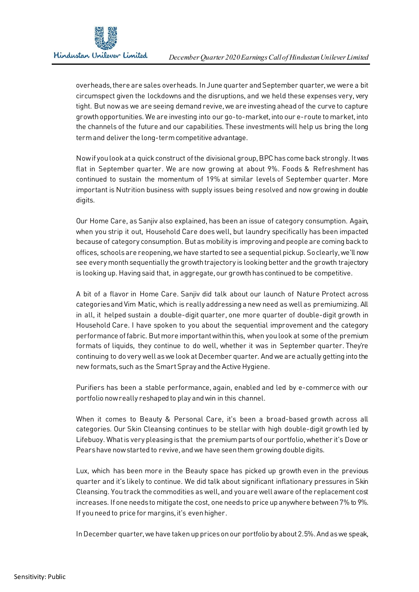

overheads, there are sales overheads. In June quarter and September quarter, we were a bit circumspect given the lockdowns and the disruptions, and we held these expenses very, very tight. But now as we are seeing demand revive, we are investing ahead of the curve to capture growth opportunities. We are investing into our go-to-market, into our e-route to market, into the channels of the future and our capabilities. These investments will help us bring the long term and deliver the long-term competitive advantage.

Now if you look at a quick construct of the divisional group, BPC has come back strongly. It was flat in September quarter. We are now growing at about 9%. Foods & Refreshment has continued to sustain the momentum of 19% at similar levels of September quarter. More important is Nutrition business with supply issues being resolved and now growing in double digits.

Our Home Care, as Sanjiv also explained, has been an issue of category consumption. Again, when you strip it out, Household Care does well, but laundry specifically has been impacted because of category consumption. But as mobility is improving and people are coming back to offices, schools are reopening, we have started to see a sequential pickup. So clearly, we'll now see every month sequentially the growth trajectory is looking better and the growth trajectory is looking up. Having said that, in aggregate, our growth has continued to be competitive.

A bit of a flavor in Home Care. Sanjiv did talk about our launch of Nature Protect across categories and Vim Matic, which is really addressing a new need as well as premiumizing. All in all, it helped sustain a double-digit quarter, one more quarter of double-digit growth in Household Care. I have spoken to you about the sequential improvement and the category performance of fabric. But more important within this, when you look at some of the premium formats of liquids, they continue to do well, whether it was in September quarter. They're continuing to do very well aswe look at December quarter. And we are actually getting into the new formats, such as the Smart Spray and the Active Hygiene.

Purifiers has been a stable performance, again, enabled and led by e-commerce with our portfolio now really reshaped to play and win in this channel.

When it comes to Beauty & Personal Care, it's been a broad-based growth across all categories. Our Skin Cleansing continues to be stellar with high double-digit growth led by Lifebuoy. What is very pleasing is that the premium parts of our portfolio, whether it's Dove or Pears have now started to revive, and we have seen them growing double digits.

Lux, which has been more in the Beauty space has picked up growth even in the previous quarter and it's likely to continue. We did talk about significant inflationary pressures in Skin Cleansing. You track the commodities as well, and you are well aware of the replacement cost increases. If one needs to mitigate the cost, one needs to price up anywhere between 7% to 9%. If you need to price for margins, it's even higher.

In December quarter, we have taken up prices on our portfolio by about 2.5%. And as we speak,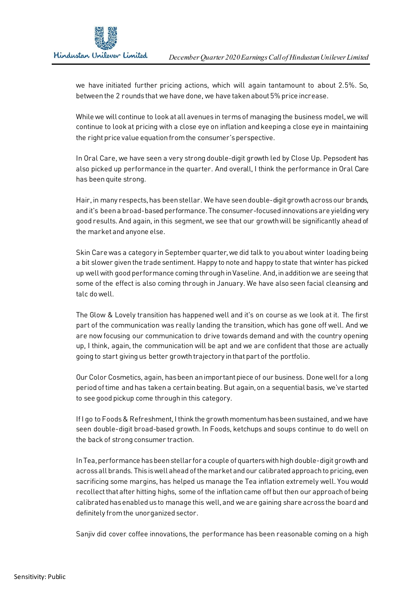

we have initiated further pricing actions, which will again tantamount to about 2.5%. So, between the 2 rounds that we have done, we have taken about 5% price increase.

While we will continue to look at all avenues in terms of managing the business model, we will continue to look at pricing with a close eye on inflation and keeping a close eye in maintaining the right price value equation from the consumer's perspective.

In Oral Care, we have seen a very strong double-digit growth led by Close Up. Pepsodent has also picked up performance in the quarter. And overall, I think the performance in Oral Care has been quite strong.

Hair, in many respects, has been stellar. We have seen double-digit growth across our brands, and it's been a broad-based performance. The consumer-focused innovationsare yielding very good results. And again, in this segment, we see that our growth will be significantly ahead of the market and anyone else.

Skin Care was a category in September quarter,we did talk to you about winter loading being a bit slower given the trade sentiment. Happy to note and happy to state that winter has picked up well with good performance coming through in Vaseline. And,in additionwe are seeing that some of the effect is also coming through in January. We have also seen facial cleansing and talc do well.

The Glow & Lovely transition has happened well and it's on course as we look at it. The first part of the communication was really landing the transition, which has gone off well. And we are now focusing our communication to drive towards demand and with the country opening up, I think, again, the communication will be apt and we are confident that those are actually going to start giving us better growth trajectory in that part of the portfolio.

Our Color Cosmetics, again, has been an important piece of our business. Done well for a long period of time and has taken a certain beating. But again, on a sequential basis, we've started to see good pickup come through in this category.

If I go to Foods & Refreshment, I think the growth momentum has been sustained, and we have seen double-digit broad-based growth. In Foods, ketchups and soups continue to do well on the back of strong consumer traction.

In Tea, performance has been stellar for a couple of quarters with high double-digit growth and across all brands. This is well ahead of the market and our calibrated approach to pricing, even sacrificing some margins, has helped us manage the Tea inflation extremely well. You would recollect that after hitting highs, some of the inflation came off but then our approach of being calibrated has enabled us to manage this well, and we are gaining share across the board and definitely from the unorganized sector.

Sanjiv did cover coffee innovations, the performance has been reasonable coming on a high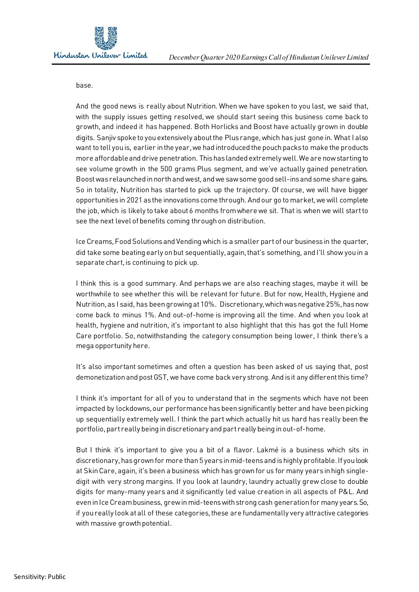

base.

And the good news is really about Nutrition. When we have spoken to you last, we said that, with the supply issues getting resolved, we should start seeing this business come back to growth, and indeed it has happened. Both Horlicks and Boost have actually grown in double digits. Sanjiv spoke to you extensively about the Plus range, which has just gone in. What I also want to tell you is, earlier in the year, we had introduced the pouch packs to make the products more affordable and drive penetration. This has landed extremely well. We are now starting to see volume growth in the 500 grams Plus segment, and we've actually gained penetration. Boost was relaunched in north and west, and we saw some good sell-ins and some share gains. So in totality, Nutrition has started to pick up the trajectory. Of course, we will have bigger opportunities in 2021 as the innovations come through. And our go to market, we will complete the job, which is likely to take about 6 months from where we sit. That is when we will start to see the next level of benefits coming through on distribution.

Ice Creams, Food Solutions and Vending which is a smaller part of our business in the quarter, did take some beating early on but sequentially, again, that's something, and I'll show you in a separate chart, is continuing to pick up.

I think this is a good summary. And perhaps we are also reaching stages, maybe it will be worthwhile to see whether this will be relevant for future. But for now, Health, Hygiene and Nutrition, as I said, has been growing at 10%. Discretionary, which was negative 25%, has now come back to minus 1%. And out-of-home is improving all the time. And when you look at health, hygiene and nutrition, it's important to also highlight that this has got the full Home Care portfolio. So, notwithstanding the category consumption being lower, I think there's a mega opportunity here.

It's also important sometimes and often a question has been asked of us saying that, post demonetization and post GST, we have come back very strong. And is it any different this time?

I think it's important for all of you to understand that in the segments which have not been impacted by lockdowns, our performance has been significantly better and have been picking up sequentially extremely well. I think the part which actually hit us hard has really been the portfolio,part really being in discretionary and part really being in out-of-home.

But I think it's important to give you a bit of a flavor. Lakmé is a business which sits in discretionary, has grown for more than 5 years in mid-teens and is highly profitable. If you look at Skin Care, again, it's been a business which has grown for us for many years in high singledigit with very strong margins. If you look at laundry, laundry actually grew close to double digits for many-many years and it significantly led value creation in all aspects of P&L. And even in Ice Cream business, grew in mid-teens with strong cash generation for many years. So, if you really look at all of these categories, these are fundamentally very attractive categories with massive growth potential.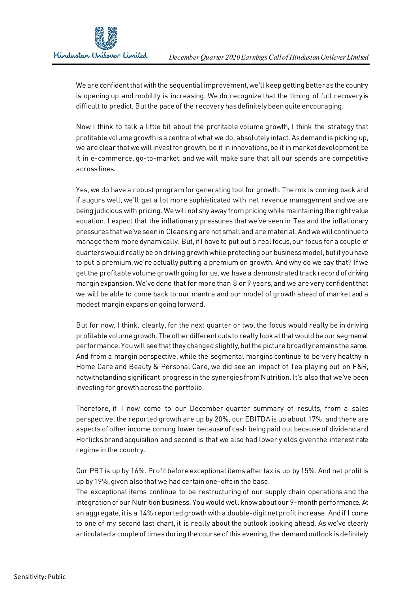

We are confident that with the sequential improvement, we'll keep getting better as the country is opening up and mobility is increasing. We do recognize that the timing of full recovery is difficult to predict. But the pace of the recovery has definitely been quite encouraging.

Now I think to talk a little bit about the profitable volume growth, I think the strategy that profitable volume growth is a centre of what we do, absolutely intact. As demand is picking up, we are clear that we will invest for growth, be it in innovations, be it in market development, be it in e-commerce, go-to-market, and we will make sure that all our spends are competitive across lines.

Yes, we do have a robust program for generating tool for growth. The mix is coming back and if augurs well, we'll get a lot more sophisticated with net revenue management and we are being judicious with pricing. We will not shy away from pricing while maintaining the right value equation. I expect that the inflationary pressures that we've seen in Tea and the inflationary pressures that we've seen in Cleansing are not small and are material. And we will continue to manage them more dynamically. But, if I have to put out a real focus, our focus for a couple of quarters would really be on driving growth while protecting our business model, but if you have to put a premium, we're actually putting a premium on growth. And why do we say that? If we get the profitable volume growth going for us, we have a demonstrated track record of driving margin expansion. We've done that for more than 8 or 9 years, and we are very confident that we will be able to come back to our mantra and our model of growth ahead of market and a modest margin expansion going forward.

But for now, I think, clearly, for the next quarter or two, the focus would really be in driving profitable volume growth. The other different cuts to really look at that would be our segmental performance. You will see that they changed slightly, but the picture broadly remains the same. And from a margin perspective, while the segmental margins continue to be very healthy in Home Care and Beauty & Personal Care, we did see an impact of Tea playing out on F&R, notwithstanding significant progress in the synergies from Nutrition. It's also that we've been investing for growth across the portfolio.

Therefore, if I now come to our December quarter summary of results, from a sales perspective, the reported growth are up by 20%, our EBITDA is up about 17%, and there are aspects of other income coming lower because of cash being paid out because of dividend and Horlicks brand acquisition and second is that we also had lower yields given the interest rate regime in the country.

Our PBT is up by 16%. Profit before exceptional items after tax is up by 15%. And net profit is up by 19%, given also that we had certain one-offs in the base.

The exceptional items continue to be restructuring of our supply chain operations and the integration of our Nutrition business. You would well know about our 9-month performance. At an aggregate, it is a 14% reported growth with a double-digit net profit increase. And if I come to one of my second last chart, it is really about the outlook looking ahead. As we've clearly articulated a couple of times during the course of this evening, the demand outlook is definitely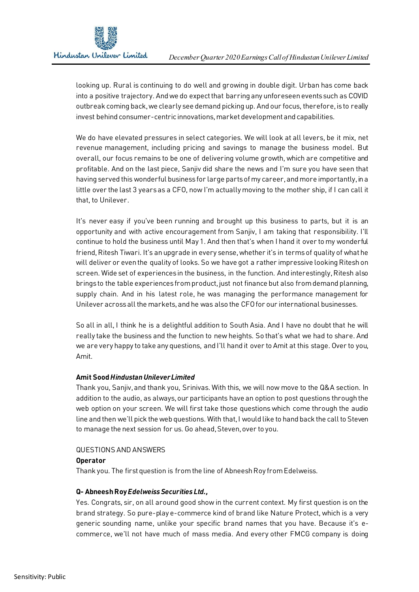

looking up. Rural is continuing to do well and growing in double digit. Urban has come back into a positive trajectory. And we do expect that barring any unforeseen events such as COVID outbreak coming back, we clearly see demand picking up. And our focus, therefore, is to really invest behind consumer-centric innovations, market development and capabilities.

We do have elevated pressures in select categories. We will look at all levers, be it mix, net revenue management, including pricing and savings to manage the business model. But overall, our focus remains to be one of delivering volume growth, which are competitive and profitable. And on the last piece, Sanjiv did share the news and I'm sure you have seen that having served this wonderful business for large parts of my career, and more importantly, in a little over the last 3 years as a CFO, now I'm actually moving to the mother ship, if I can call it that, to Unilever.

It's never easy if you've been running and brought up this business to parts, but it is an opportunity and with active encouragement from Sanjiv, I am taking that responsibility. I'll continue to hold the business until May 1. And then that's when I hand it over to my wonderful friend, Ritesh Tiwari. It's an upgrade in every sense, whether it's in terms of quality of what he will deliver or even the quality of looks. So we have got a rather impressive looking Ritesh on screen. Wide set of experiences in the business, in the function. And interestingly, Ritesh also brings to the table experiences from product, just not finance but also from demand planning, supply chain. And in his latest role, he was managing the performance management for Unilever across all the markets, and he was also the CFO for our international businesses.

So all in all, I think he is a delightful addition to South Asia. And I have no doubt that he will really take the business and the function to new heights. So that's what we had to share. And we are very happy to take any questions, and I'll hand it over to Amit at this stage. Over to you, Amit.

## **Amit Sood** *Hindustan Unilever Limited*

Thank you, Sanjiv, and thank you, Srinivas. With this, we will now move to the Q&A section. In addition to the audio, as always, our participants have an option to post questions through the web option on your screen. We will first take those questions which come through the audio line and then we'll pick the web questions. With that, I would like to hand back the call to Steven to manage the next session for us. Go ahead, Steven, over to you.

## QUESTIONS AND ANSWERS

#### **Operator**

Thank you. The first question is from the line of Abneesh Roy from Edelweiss.

## **Q- Abneesh Roy** *Edelweiss Securities Ltd.,*

Yes. Congrats, sir, on all around good show in the current context. My first question is on the brand strategy. So pure-play e-commerce kind of brand like Nature Protect, which is a very generic sounding name, unlike your specific brand names that you have. Because it's ecommerce, we'll not have much of mass media. And every other FMCG company is doing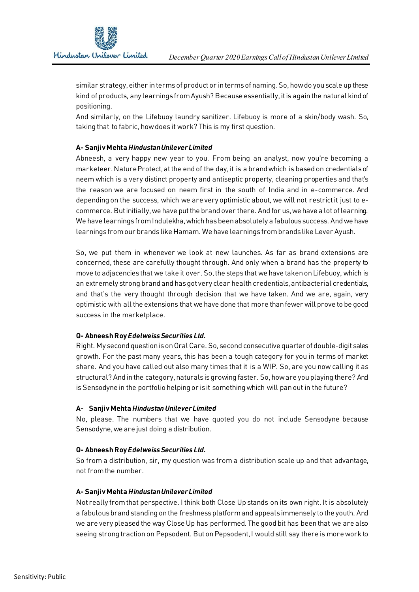

similar strategy, either in terms of product or in terms of naming.So,how do you scale up these kind of products, any learningsfrom Ayush? Because essentially, it is again the natural kind of positioning.

And similarly, on the Lifebuoy laundry sanitizer. Lifebuoy is more of a skin/body wash. So, taking that to fabric, how does it work? This is my first question.

# **A- Sanjiv Mehta** *Hindustan Unilever Limited*

Abneesh, a very happy new year to you. From being an analyst, now you're becoming a marketeer. Nature Protect, at the end of the day, it is a brand which is based on credentials of neem which is a very distinct property and antiseptic property, cleaning properties and that's the reason we are focused on neem first in the south of India and in e-commerce. And depending on the success, which we are very optimistic about, we will not restrict it just to ecommerce. But initially, we have put the brand over there. And for us, we have a lot of learning. We have learningsfrom Indulekha, which has been absolutely a fabulous success. And we have learnings from our brands like Hamam. We have learnings from brands like Lever Ayush.

So, we put them in whenever we look at new launches. As far as brand extensions are concerned, these are carefully thought through. And only when a brand has the property to move to adjacencies that we take it over. So,the steps that we have taken on Lifebuoy, which is an extremely strong brand and has got very clear health credentials, antibacterial credentials, and that's the very thought through decision that we have taken. And we are, again, very optimistic with all the extensions that we have done that more than fewer will prove to be good success in the marketplace.

## **Q- Abneesh Roy** *Edelweiss Securities Ltd.*

Right. My second question is on Oral Care. So,second consecutive quarter of double-digit sales growth. For the past many years, this has been a tough category for you in terms of market share. And you have called out also many times that it is a WIP. So, are you now calling it as structural? And in the category, naturals is growing faster. So, how are you playing there? And is Sensodyne in the portfolio helping or is it something which will pan out in the future?

## **A- Sanjiv Mehta** *Hindustan Unilever Limited*

No, please. The numbers that we have quoted you do not include Sensodyne because Sensodyne, we are just doing a distribution.

# **Q- Abneesh Roy** *Edelweiss Securities Ltd.*

So from a distribution, sir, my question was from a distribution scale up and that advantage, not from the number.

# **A- Sanjiv Mehta** *Hindustan Unilever Limited*

Not really from that perspective. I think both Close Up stands on its own right. It is absolutely a fabulous brand standing on the freshness platform and appeals immensely to the youth. And we are very pleased the way Close Up has performed. The good bit has been that we are also seeing strong traction on Pepsodent. But on Pepsodent, I would still say there is more work to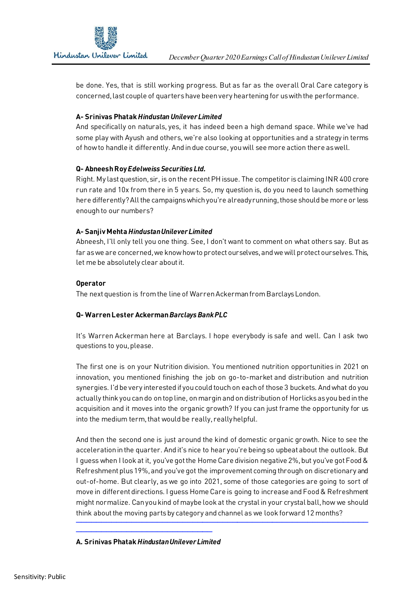be done. Yes, that is still working progress. But as far as the overall Oral Care category is concerned, last couple of quarters have been very heartening for us with the performance.

# **A- Srinivas Phatak** *Hindustan Unilever Limited*

And specifically on naturals, yes, it has indeed been a high demand space. While we've had some play with Ayush and others, we're also looking at opportunities and a strategy in terms of how to handle it differently. And in due course, you will see more action there as well.

# **Q- Abneesh Roy** *Edelweiss Securities Ltd.*

Right. My last question, sir, is on the recent PH issue. The competitor is claiming INR 400 crore run rate and 10x from there in 5 years. So, my question is, do you need to launch something here differently? All the campaigns which you're already running, those should be more or less enough to our numbers?

# **A- Sanjiv Mehta** *Hindustan Unilever Limited*

Abneesh, I'll only tell you one thing. See, I don't want to comment on what others say. But as far as we are concerned, we know how to protect ourselves, and we will protect ourselves. This, let me be absolutely clear about it.

## **Operator**

The next question is from the line of Warren Ackerman from Barclays London.

# **Q- Warren Lester Ackerman** *Barclays Bank PLC*

It's Warren Ackerman here at Barclays. I hope everybody is safe and well. Can I ask two questions to you, please.

The first one is on your Nutrition division. You mentioned nutrition opportunities in 2021 on innovation, you mentioned finishing the job on go-to-market and distribution and nutrition synergies. I'd be very interested if you could touch on each of those 3 buckets. And what do you actually think you can do on top line, on margin and on distribution of Horlicks as you bed in the acquisition and it moves into the organic growth? If you can just frame the opportunity for us into the medium term, that would be really, really helpful.

And then the second one is just around the kind of domestic organic growth. Nice to see the acceleration in the quarter. And it's nice to hear you're being so upbeat about the outlook. But I guess when I look at it, you've got the Home Care division negative 2%, but you've got Food & Refreshment plus 19%, and you've got the improvement coming through on discretionary and out-of-home. But clearly, as we go into 2021, some of those categories are going to sort of move in different directions. I guess Home Care is going to increase and Food & Refreshment might normalize. Can you kind of maybe look at the crystal in your crystal ball, how we should think about the moving parts by category and channel as we look forward 12 months?

──────────────────────────────────────────────────────────

## **A. Srinivas Phatak** *Hindustan Unilever Limited*

───────────────────────────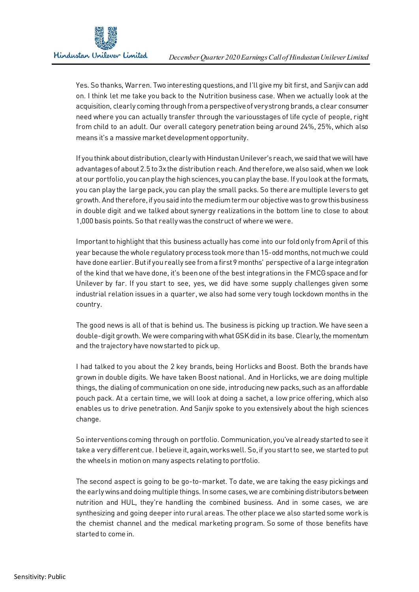

Yes. So thanks, Warren. Two interesting questions, and I'll give my bit first, and Sanjiv can add on. I think let me take you back to the Nutrition business case. When we actually look at the acquisition, clearly coming through from a perspective of very strong brands, a clear consumer need where you can actually transfer through the variousstages of life cycle of people, right from child to an adult. Our overall category penetration being around 24%, 25%, which also means it's a massive market development opportunity.

If you think about distribution, clearly with Hindustan Unilever's reach, we said that we will have advantages of about 2.5 to 3x the distribution reach. And therefore, we also said, when we look at our portfolio, you can play the high sciences, you can play the base. If you look at the formats, you can play the large pack, you can play the small packs. So there are multiple levers to get growth. And therefore, if you said into the medium term our objective was to grow this business in double digit and we talked about synergy realizations in the bottom line to close to about 1,000 basis points. So that really was the construct of where we were.

Important to highlight that this business actually has come into our fold only from April of this year because the whole regulatory process took more than 15-odd months, not much we could have done earlier. But if you really see from a first 9 months' perspective of a large integration of the kind that we have done, it's been one of the best integrations in the FMCG space and for Unilever by far. If you start to see, yes, we did have some supply challenges given some industrial relation issues in a quarter, we also had some very tough lockdown months in the country.

The good news is all of that is behind us. The business is picking up traction. We have seen a double-digit growth. We were comparing with what GSK did in its base. Clearly, the momentum and the trajectory have now started to pick up.

I had talked to you about the 2 key brands, being Horlicks and Boost. Both the brands have grown in double digits. We have taken Boost national. And in Horlicks, we are doing multiple things, the dialing of communication on one side, introducing new packs, such as an affordable pouch pack. At a certain time, we will look at doing a sachet, a low price offering, which also enables us to drive penetration. And Sanjiv spoke to you extensively about the high sciences change.

So interventions coming through on portfolio. Communication, you've already started to see it take a very different cue. I believe it, again, works well. So,if you start to see, we started to put the wheels in motion on many aspects relating to portfolio.

The second aspect is going to be go-to-market. To date, we are taking the easy pickings and the early wins and doing multiple things. In some cases, we are combining distributors between nutrition and HUL, they're handling the combined business. And in some cases, we are synthesizing and going deeper into rural areas. The other place we also started some work is the chemist channel and the medical marketing program. So some of those benefits have started to come in.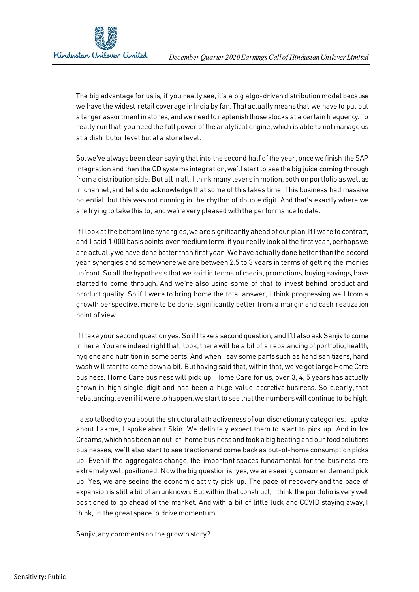

The big advantage for us is, if you really see, it's a big algo-driven distribution model because we have the widest retail coverage in India by far. That actually means that we have to put out a larger assortment in stores, and we need to replenish those stocks at a certain frequency. To really run that, you need the full power of the analytical engine, which is able to not manage us at a distributor level but at a store level.

So,we've always been clear saying that into the second half of the year, once we finish the SAP integration and then the CD systems integration, we'll start to see the big juice coming through from a distribution side. But all in all, I think many levers in motion, both on portfolio as well as in channel, and let's do acknowledge that some of this takes time. This business had massive potential, but this was not running in the rhythm of double digit. And that's exactly where we are trying to take this to, and we're very pleased with the performance to date.

If I look at the bottom line synergies, we are significantly ahead of our plan. If I were to contrast, and I said 1,000 basis points over medium term, if you really look at the first year, perhaps we are actually we have done better than first year. We have actually done better than the second year synergies and somewhere we are between 2.5 to 3 years in terms of getting the monies upfront. So all the hypothesis that we said in terms of media, promotions, buying savings, have started to come through. And we're also using some of that to invest behind product and product quality. So if I were to bring home the total answer, I think progressing well from a growth perspective, more to be done, significantly better from a margin and cash realization point of view.

If I take your second question yes. So if I take a second question, and I'll also ask Sanjiv to come in here. You are indeed right that, look, there will be a bit of a rebalancing of portfolio, health, hygiene and nutrition in some parts. And when I say some parts such as hand sanitizers, hand wash will start to come down a bit. But having said that, within that, we've got large Home Care business. Home Care business will pick up. Home Care for us, over 3, 4, 5 years has actually grown in high single-digit and has been a huge value-accretive business. So clearly, that rebalancing, even if it were to happen, we start to see that the numbers will continue to be high.

I also talked to you about the structural attractiveness of our discretionary categories. I spoke about Lakme, I spoke about Skin. We definitely expect them to start to pick up. And in Ice Creams, which has been an out-of-home business and took a big beating and our food solutions businesses, we'll also start to see traction and come back as out-of-home consumption picks up. Even if the aggregates change, the important spaces fundamental for the business are extremely well positioned. Now the big question is, yes, we are seeing consumer demand pick up. Yes, we are seeing the economic activity pick up. The pace of recovery and the pace of expansion is still a bit of an unknown. But within that construct, I think the portfolio is very well positioned to go ahead of the market. And with a bit of little luck and COVID staying away, I think, in the great space to drive momentum.

Sanjiv, any comments on the growth story?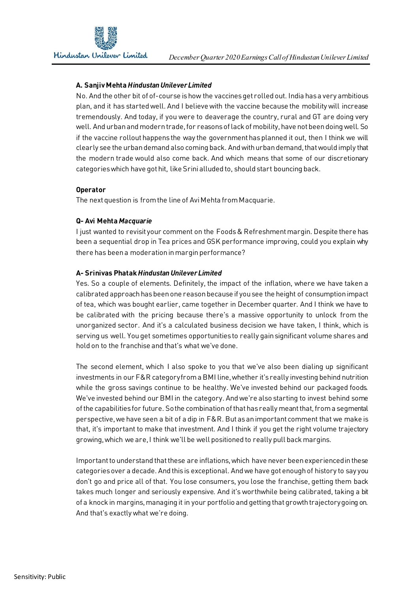# **A. Sanjiv Mehta** *Hindustan Unilever Limited*

No. And the other bit of of-course is how the vaccines get rolled out. India has a very ambitious plan, and it has started well. And I believe with the vaccine because the mobility will increase tremendously. And today, if you were to deaverage the country, rural and GT are doing very well. And urban and modern trade, for reasons of lack of mobility, have not been doing well. So if the vaccine rollout happens the way the government has planned it out, then I think we will clearly see the urban demand also coming back. And with urban demand, that would imply that the modern trade would also come back. And which means that some of our discretionary categories which have got hit, like Srini alluded to, should start bouncing back.

## **Operator**

The next question is from the line of Avi Mehta from Macquarie.

## **Q- Avi Mehta** *Macquarie*

I just wanted to revisit your comment on the Foods & Refreshment margin. Despite there has been a sequential drop in Tea prices and GSK performance improving, could you explain why there has been a moderation in margin performance?

## **A- Srinivas Phatak** *Hindustan Unilever Limited*

Yes. So a couple of elements. Definitely, the impact of the inflation, where we have taken a calibrated approach has been one reason because if you see the height of consumption impact of tea, which was bought earlier, came together in December quarter. And I think we have to be calibrated with the pricing because there's a massive opportunity to unlock from the unorganized sector. And it's a calculated business decision we have taken, I think, which is serving us well. You get sometimes opportunities to really gain significant volume shares and hold on to the franchise and that's what we've done.

The second element, which I also spoke to you that we've also been dialing up significant investments in our F&R category from a BMI line, whether it's really investing behind nutrition while the gross savings continue to be healthy. We've invested behind our packaged foods. We've invested behind our BMI in the category. And we're also starting to invest behind some of the capabilities for future. So the combination of that has really meant that, from a segmental perspective, we have seen a bit of a dip in F&R. But as an important comment that we make is that, it's important to make that investment. And I think if you get the right volume trajectory growing, which we are, I think we'll be well positioned to really pull back margins.

Important to understand that these are inflations, which have never been experienced in these categories over a decade. And this is exceptional. And we have got enough of history to say you don't go and price all of that. You lose consumers, you lose the franchise, getting them back takes much longer and seriously expensive. And it's worthwhile being calibrated, taking a bit of a knock in margins, managing it in your portfolio and getting that growth trajectory going on. And that's exactly what we're doing.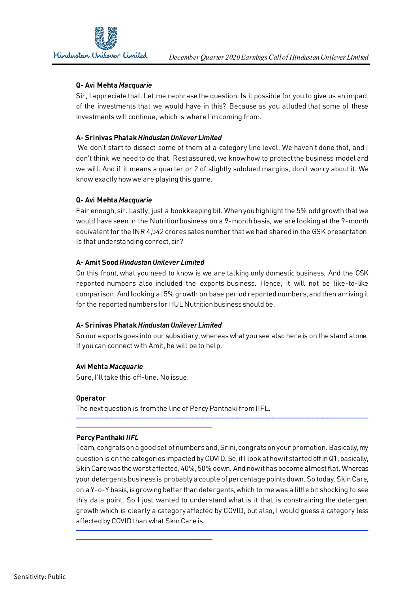

# **Q- Avi Mehta** *Macquarie*

Sir, I appreciate that. Let me rephrase the question. Is it possible for you to give us an impact of the investments that we would have in this? Because as you alluded that some of these investments will continue, which is where I'm coming from.

# **A- Srinivas Phatak** *Hindustan Unilever Limited*

We don't start to dissect some of them at a category line level. We haven't done that, and I don't think we need to do that. Rest assured, we know how to protect the business model and we will. And if it means a quarter or 2 of slightly subdued margins, don't worry about it. We know exactly how we are playing this game.

# **Q- Avi Mehta** *Macquarie*

Fair enough, sir. Lastly, just a bookkeeping bit. When you highlight the 5% odd growth that we would have seen in the Nutrition business on a 9-month basis, we are looking at the 9-month equivalent for the INR 4,542 crores sales number that we had shared in the GSK presentation. Is that understanding correct, sir?

# **A- Amit Sood** *Hindustan Unilever Limited*

On this front, what you need to know is we are talking only domestic business. And the GSK reported numbers also included the exports business. Hence, it will not be like-to-like comparison. And looking at 5% growth on base period reported numbers, and then arriving it for the reported numbers for HUL Nutrition business should be.

## **A- Srinivas Phatak** *Hindustan Unilever Limited*

So our exports goes into our subsidiary, whereas what you see also here is on the stand alone. If you can connect with Amit, he will be to help.

## **Avi Mehta** *Macquarie*

Sure, I'll take this off-line. No issue.

───────────────────────────

───────────────────────────

## **Operator**

The next question is from the line of Percy Panthaki from IIFL.

## **Percy Panthaki** *IIFL*

Team, congrats on a good set of numbers and, Srini, congrats on your promotion. Basically, my question is on the categories impacted by COVID. So, if I look at how it started off in Q1, basically, Skin Care was the worst affected, 40%, 50% down. And now it has become almost flat. Whereas your detergents business is probably a couple of percentage points down. So today, Skin Care, on a Y-o-Y basis, is growing better than detergents, which to me was a little bit shocking to see this data point. So I just wanted to understand what is it that is constraining the detergent growth which is clearly a category affected by COVID, but also, I would guess a category less affected by COVID than what Skin Care is.

──────────────────────────────────────────────────────────

──────────────────────────────────────────────────────────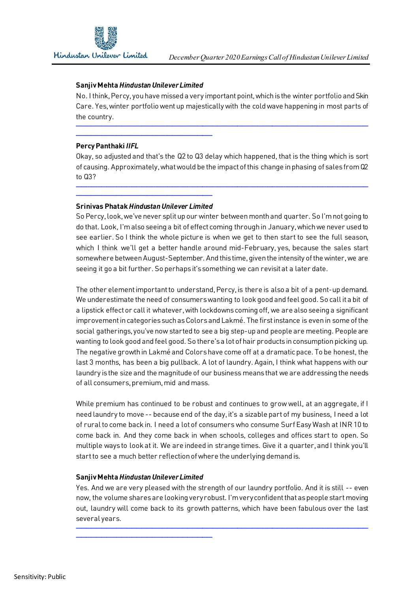## **Sanjiv Mehta** *Hindustan Unilever Limited*

No. I think, Percy, you have missed a very important point, which is the winter portfolio and Skin Care. Yes, winter portfolio went up majestically with the cold wave happening in most parts of the country.

──────────────────────────────────────────────────────────

## **Percy Panthaki** *IIFL*

Okay, so adjusted and that's the Q2 to Q3 delay which happened, that is the thing which is sort of causing. Approximately, what would be the impact of this change in phasing of sales from Q2 to Q3?

──────────────────────────────────────────────────────────

#### ─────────────────────────── **Srinivas Phatak***Hindustan Unilever Limited*

───────────────────────────

So Percy, look, we've never split up our winter between month and quarter. So I'm not going to do that. Look, I'm also seeing a bit of effect coming through in January, which we never used to see earlier. So I think the whole picture is when we get to then start to see the full season, which I think we'll get a better handle around mid-February, yes, because the sales start somewhere between August-September. And this time, given the intensity of the winter, we are seeing it go a bit further. So perhaps it's something we can revisit at a later date.

The other element important to understand, Percy, is there is also a bit of a pent-up demand. We underestimate the need of consumers wanting to look good and feel good. So call it a bit of a lipstick effect or call it whatever, with lockdowns coming off, we are also seeing a significant improvement in categories such as Colors and Lakmé. The first instance is even in some of the social gatherings, you've now started to see a big step-up and people are meeting. People are wanting to look good and feel good. So there's a lot of hair products in consumption picking up. The negative growth in Lakmé and Colorshave come off at a dramatic pace. To be honest, the last 3 months, has been a big pullback. A lot of laundry. Again, I think what happens with our laundry is the size and the magnitude of our business means that we are addressing the needs of all consumers, premium, mid and mass.

While premium has continued to be robust and continues to grow well, at an aggregate, if I need laundry to move -- because end of the day, it's a sizable part of my business, I need a lot of rural to come back in. I need a lot of consumers who consume Surf Easy Wash at INR 10 to come back in. And they come back in when schools, colleges and offices start to open. So multiple ways to look at it. We are indeed in strange times. Give it a quarter, and I think you'll start to see a much better reflection of where the underlying demand is.

## **Sanjiv Mehta** *Hindustan Unilever Limited*

───────────────────────────

Yes. And we are very pleased with the strength of our laundry portfolio. And it is still -- even now, the volume shares are looking very robust. I'm very confident that as people start moving out, laundry will come back to its growth patterns, which have been fabulous over the last several years.

──────────────────────────────────────────────────────────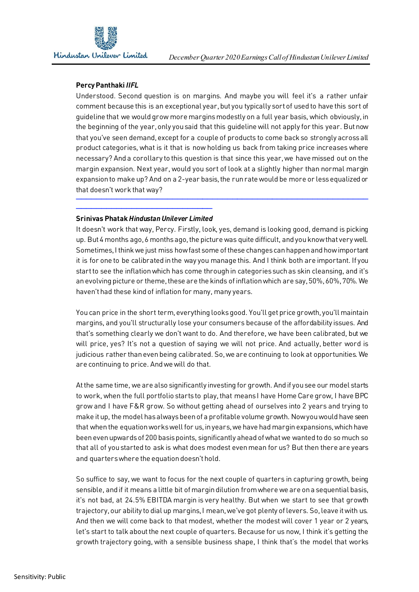# **Percy Panthaki** *IIFL*

Understood. Second question is on margins. And maybe you will feel it's a rather unfair comment because this is an exceptional year, but you typically sort of used to have this sort of guideline that we would grow more margins modestly on a full year basis, which obviously, in the beginning of the year, only you said that this guideline will not apply for this year. But now that you've seen demand, except for a couple of products to come back so strongly across all product categories, what is it that is now holding us back from taking price increases where necessary? And a corollary to this question is that since this year, we have missed out on the margin expansion. Next year, would you sort of look at a slightly higher than normal margin expansion to make up? And on a 2-year basis, the run rate would be more or less equalized or that doesn't work that way?

──────────────────────────────────────────────────────────

#### ─────────────────────────── **Srinivas Phatak** *Hindustan Unilever Limited*

It doesn't work that way, Percy. Firstly, look, yes, demand is looking good, demand is picking up. But 4 months ago, 6 months ago, the picture was quite difficult, and you know that very well. Sometimes, I think we just miss how fast some of these changes can happen and how important it is for one to be calibrated in the way you manage this. And I think both are important. If you start to see the inflation which has come through in categories such as skin cleansing, and it's an evolving picture or theme, these are the kinds of inflation which are say, 50%, 60%, 70%. We haven't had these kind of inflation for many, many years.

You can price in the short term, everything looks good. You'll get price growth, you'll maintain margins, and you'll structurally lose your consumers because of the affordability issues. And that's something clearly we don't want to do. And therefore, we have been calibrated, but we will price, yes? It's not a question of saying we will not price. And actually, better word is judicious rather than even being calibrated. So,we are continuing to look at opportunities. We are continuing to price. And we will do that.

At the same time, we are also significantly investing for growth. And if you see our model starts to work, when the full portfolio starts to play, that means I have Home Care grow, I have BPC grow and I have F&R grow. So without getting ahead of ourselves into 2 years and trying to make it up, the model has always been of a profitable volume growth. Now you would have seen that when the equation works well for us, in years, we have had margin expansions, which have been even upwards of 200 basis points, significantly ahead of what we wanted to do so much so that all of youstarted to ask is what does modest even mean for us? But then there are years and quarters where the equation doesn't hold.

So suffice to say, we want to focus for the next couple of quarters in capturing growth, being sensible, and if it means a little bit of margin dilution from where we are on a sequential basis, it's not bad, at 24.5% EBITDA margin is very healthy. But when we start to see that growth trajectory, our ability to dial up margins, I mean, we've got plenty of levers. So, leave it with us. And then we will come back to that modest, whether the modest will cover 1 year or 2 years, let's start to talk about the next couple of quarters. Because for us now, I think it's getting the growth trajectory going, with a sensible business shape, I think that's the model that works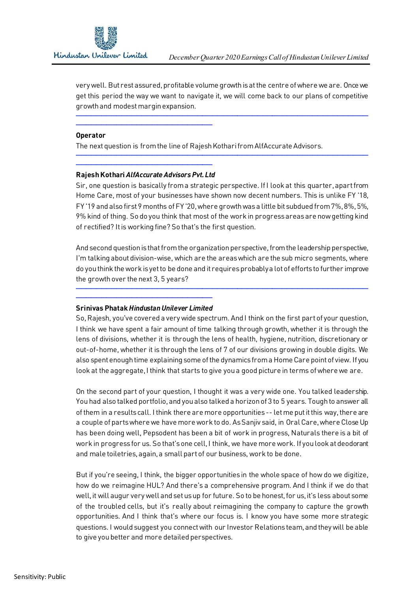very well. But rest assured, profitable volume growth is at the centre of where we are. Once we get this period the way we want to navigate it, we will come back to our plans of competitive growth and modest margin expansion.

──────────────────────────────────────────────────────────

──────────────────────────────────────────────────────────

#### **Operator**

The next question is from the line of Rajesh Kothari from AlfAccurate Advisors.

#### ─────────────────────────── **Rajesh Kothari** *AlfAccurate Advisors Pvt. Ltd*

──────────────────────────────────<del>─</del>

Sir, one question is basically from a strategic perspective. If I look at this quarter, apart from Home Care, most of your businesses have shown now decent numbers. This is unlike FY '18, FY '19 and also first 9 months of FY '20, where growth was a little bit subdued from 7%, 8%, 5%, 9% kind of thing. So do you think that most of the work in progress areas are now getting kind of rectified? It is working fine? So that's the first question.

And second question is that from the organization perspective, from the leadership perspective, I'm talking about division-wise, which are the areas which are the sub micro segments, where do you think the work is yet to be done and it requires probably a lot of efforts to further improve the growth over the next 3, 5 years?

──────────────────────────────────────────────────────────

#### ─────────────────────────── **Srinivas Phatak** *Hindustan Unilever Limited*

So, Rajesh, you've covered a very wide spectrum. And I think on the first part of your question, I think we have spent a fair amount of time talking through growth, whether it is through the lens of divisions, whether it is through the lens of health, hygiene, nutrition, discretionary or out-of-home, whether it is through the lens of 7 of our divisions growing in double digits. We also spent enough time explaining some of the dynamics from a Home Care point of view. If you look at the aggregate, I think that starts to give you a good picture in terms of where we are.

On the second part of your question, I thought it was a very wide one. You talked leadership. You had also talked portfolio, and you also talked a horizon of 3 to 5 years. Tough to answer all of them in a results call. I think there are more opportunities -- letme put it this way, there are a couple of parts where we have more work to do. As Sanjiv said, in Oral Care, where Close Up has been doing well, Pepsodent has been a bit of work in progress, Naturals there is a bit of work in progress for us. So that's one cell, I think, we have more work. If you look at deodorant and male toiletries, again, a small part of our business, work to be done.

But if you're seeing, I think, the bigger opportunities in the whole space of how do we digitize, how do we reimagine HUL? And there's a comprehensive program. And I think if we do that well, it will augur very well and set us up for future. So to be honest, for us, it's less about some of the troubled cells, but it's really about reimagining the company to capture the growth opportunities. And I think that's where our focus is. I know you have some more strategic questions. I would suggest you connect with our Investor Relations team, and they will be able to give you better and more detailed perspectives.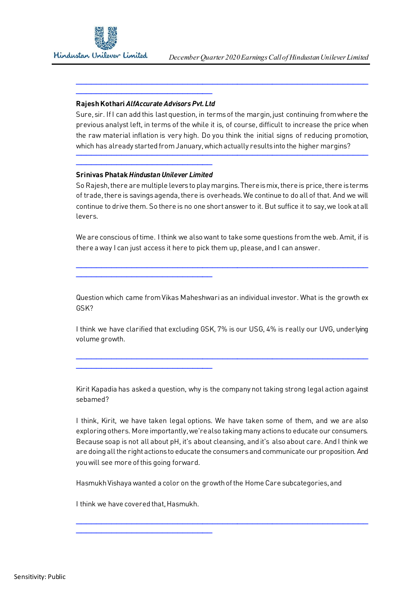

#### ─────────────────────────── **Rajesh Kothari** *AlfAccurate Advisors Pvt. Ltd*

Sure, sir. If I can add this last question, in terms of the margin, just continuing from where the previous analyst left, in terms of the while it is, of course, difficult to increase the price when the raw material inflation is very high. Do you think the initial signs of reducing promotion, which has already started from January, which actually results into the higher margins?

──────────────────────────────────────────────────────────

──────────────────────────────────────────────────────────

#### ─────────────────────────── **Srinivas Phatak** *Hindustan Unilever Limited*

───────────────────────────

───────────────────────────

So Rajesh, there are multiple levers to play margins. There is mix, there is price, there is terms of trade, there is savings agenda, there is overheads. We continue to do all of that. And we will continue to drive them. So there is no one short answer to it. But suffice it to say, we look at all levers.

We are conscious of time. I think we also want to take some questions from the web. Amit, if is there a way I can just access it here to pick them up, please, and I can answer.

──────────────────────────────────────────────────────────

Question which came from Vikas Maheshwari as an individual investor. What is the growth ex GSK?

I think we have clarified that excluding GSK, 7% is our USG, 4% is really our UVG, underlying volume growth.

──────────────────────────────────────────────────────────

Kirit Kapadia has asked a question, why is the company not taking strong legal action against sebamed?

I think, Kirit, we have taken legal options. We have taken some of them, and we are also exploring others. More importantly, we're also taking many actions to educate our consumers. Because soap is not all about pH, it's about cleansing, and it's also about care. And I think we are doing all the right actions to educate the consumers and communicate our proposition. And you will see more of this going forward.

──────────────────────────────────────────────────────────

Hasmukh Vishaya wanted a color on the growth of the Home Care subcategories, and

I think we have covered that, Hasmukh.

───────────────────────────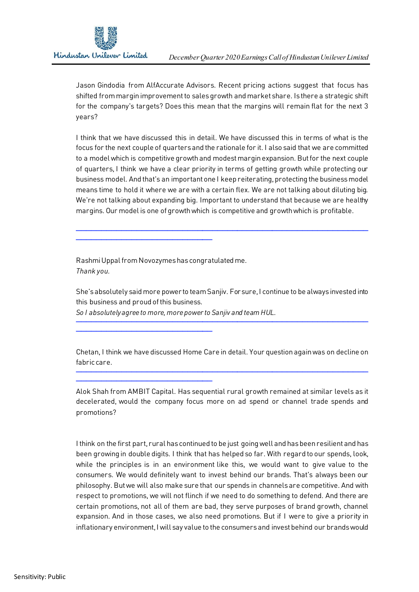Jason Gindodia from AlfAccurate Advisors. Recent pricing actions suggest that focus has shifted from margin improvement to sales growth and market share. Is there a strategic shift for the company's targets? Does this mean that the margins will remain flat for the next 3 years?

I think that we have discussed this in detail. We have discussed this in terms of what is the focus for the next couple of quarters and the rationale for it. I also said that we are committed to a model which is competitive growth and modest margin expansion. But for the next couple of quarters, I think we have a clear priority in terms of getting growth while protecting our business model. And that's an important one I keep reiterating, protecting the business model means time to hold it where we are with a certain flex. We are not talking about diluting big. We're not talking about expanding big. Important to understand that because we are healthy margins. Our model is one of growth which is competitive and growth which is profitable.

──────────────────────────────────────────────────────────

Rashmi Uppal from Novozymes has congratulated me. *Thank you.*

───────────────────────────

───────────────────────────

───────────────────────────

She's absolutely said more power to team Sanjiv. For sure, I continue to be always invested into this business and proud of this business.

──────────────────────────────────────────────────────────

*So I absolutely agree to more, more power to Sanjiv and team HUL.*

Chetan, I think we have discussed Home Care in detail. Your question again was on decline on fabric care.

──────────────────────────────────────────────────────────

Alok Shah from AMBIT Capital. Has sequential rural growth remained at similar levels as it decelerated, would the company focus more on ad spend or channel trade spends and promotions?

I think on the first part, rural has continued to be just going well and has been resilient and has been growing in double digits. I think that has helped so far. With regard to our spends, look, while the principles is in an environment like this, we would want to give value to the consumers. We would definitely want to invest behind our brands. That's always been our philosophy. But we will also make sure that our spends in channels are competitive. And with respect to promotions, we will not flinch if we need to do something to defend. And there are certain promotions, not all of them are bad, they serve purposes of brand growth, channel expansion. And in those cases, we also need promotions. But if I were to give a priority in inflationary environment, I will say value to the consumers and invest behind our brands would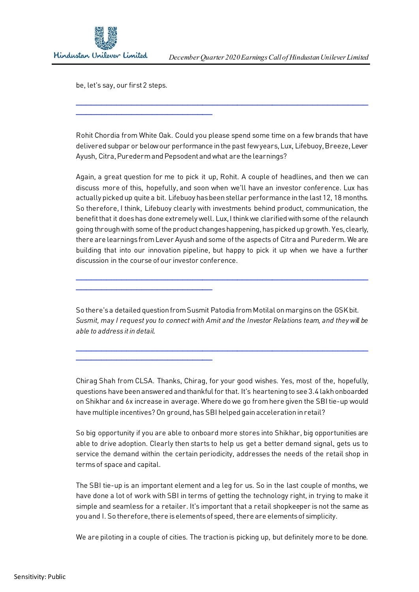be, let's say, our first 2 steps.

───────────────────────────

───────────────────────────

───────────────────────────

Rohit Chordia from White Oak. Could you please spend some time on a few brands that have delivered subpar or below our performance in the past few years, Lux, Lifebuoy, Breeze, Lever Ayush, Citra, Puredermand Pepsodent and what are the learnings?

──────────────────────────────────────────────────────────

Again, a great question for me to pick it up, Rohit. A couple of headlines, and then we can discuss more of this, hopefully, and soon when we'll have an investor conference. Lux has actually picked up quite a bit. Lifebuoy has been stellar performance in the last 12, 18 months. So therefore, I think, Lifebuoy clearly with investments behind product, communication, the benefit that it does has done extremely well. Lux, I think we clarified with some of the relaunch going through with some of the product changes happening, has picked up growth. Yes, clearly, there are learnings from Lever Ayush and some of the aspects of Citra and Purederm. We are building that into our innovation pipeline, but happy to pick it up when we have a further discussion in the course of our investor conference.

So there's a detailed question from Susmit Patodia fromMotilal on margins on the GSK bit. *Susmit, may I request you to connect with Amit and the Investor Relations team, and they will be able to address it in detail.* 

──────────────────────────────────────────────────────────

──────────────────────────────────────────────────────────

Chirag Shah from CLSA. Thanks, Chirag, for your good wishes. Yes, most of the, hopefully, questions have been answered and thankful for that. It's heartening to see 3.4 lakh onboarded on Shikhar and 6x increase in average. Where do we go from here given the SBI tie-up would have multiple incentives? On ground, has SBI helped gain acceleration in retail?

So big opportunity if you are able to onboard more stores into Shikhar, big opportunities are able to drive adoption. Clearly then starts to help us get a better demand signal, gets us to service the demand within the certain periodicity, addresses the needs of the retail shop in terms of space and capital.

The SBI tie-up is an important element and a leg for us. So in the last couple of months, we have done a lot of work with SBI in terms of getting the technology right, in trying to make it simple and seamless for a retailer. It's important that a retail shopkeeper is not the same as you and I. So therefore, there is elements of speed, there are elements of simplicity.

We are piloting in a couple of cities. The traction is picking up, but definitely more to be done.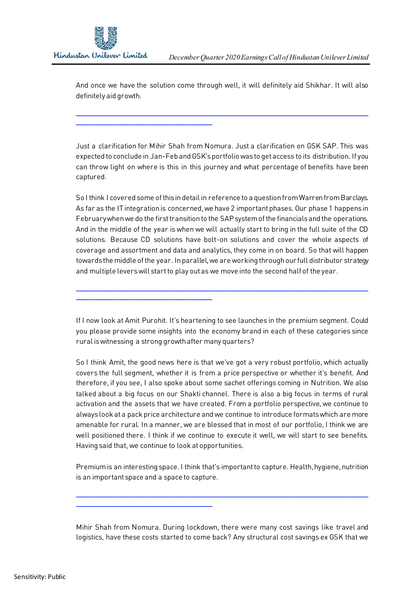──────────────────────────────────<del>─</del>

───────────────────────────

───────────────────────────

And once we have the solution come through well, it will definitely aid Shikhar. It will also definitely aid growth.

──────────────────────────────────────────────────────────

Just a clarification for Mihir Shah from Nomura. Just a clarification on GSK SAP. This was expected to conclude in Jan-Feb and GSK's portfolio was to get access to its distribution. If you can throw light on where is this in this journey and what percentage of benefits have been captured.

So I think I covered some of this in detail in reference to a question from Warren from Barclays. As far as the IT integration is concerned, we have 2 important phases. Our phase 1 happens in February when we do the first transition to the SAP system of the financials and the operations. And in the middle of the year is when we will actually start to bring in the full suite of the CD solutions. Because CD solutions have bolt-on solutions and cover the whole aspects of coverage and assortment and data and analytics, they come in on board. So that will happen towards the middle of the year. In parallel, we are working through our full distributor strategy and multiple levers will start to play out as we move into the second half of the year.

If I now look at Amit Purohit. It's heartening to see launches in the premium segment. Could you please provide some insights into the economy brand in each of these categories since rural is witnessing a strong growth after many quarters?

──────────────────────────────────────────────────────────

So I think Amit, the good news here is that we've got a very robust portfolio, which actually covers the full segment, whether it is from a price perspective or whether it's benefit. And therefore, if you see, I also spoke about some sachet offerings coming in Nutrition. We also talked about a big focus on our Shakti channel. There is also a big focus in terms of rural activation and the assets that we have created. From a portfolio perspective, we continue to always look at a pack price architecture and we continue to introduce formats which are more amenable for rural. In a manner, we are blessed that in most of our portfolio, I think we are well positioned there. I think if we continue to execute it well, we will start to see benefits. Having said that, we continue to look at opportunities.

Premium is an interesting space. I think that's important to capture. Health, hygiene, nutrition is an important space and a space to capture.

──────────────────────────────────────────────────────────

Mihir Shah from Nomura. During lockdown, there were many cost savings like travel and logistics, have these costs started to come back? Any structural cost savings ex GSK that we